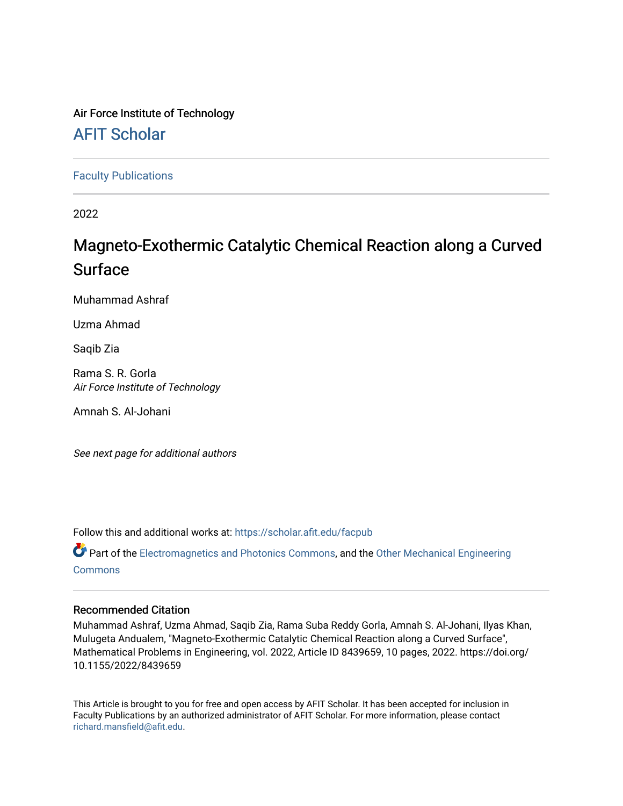# Air Force Institute of Technology

# [AFIT Scholar](https://scholar.afit.edu/)

[Faculty Publications](https://scholar.afit.edu/facpub)

2022

# Magneto-Exothermic Catalytic Chemical Reaction along a Curved Surface

Muhammad Ashraf

Uzma Ahmad

Saqib Zia

Rama S. R. Gorla Air Force Institute of Technology

Amnah S. Al-Johani

See next page for additional authors

Follow this and additional works at: [https://scholar.afit.edu/facpub](https://scholar.afit.edu/facpub?utm_source=scholar.afit.edu%2Ffacpub%2F969&utm_medium=PDF&utm_campaign=PDFCoverPages)

Part of the [Electromagnetics and Photonics Commons,](https://network.bepress.com/hgg/discipline/271?utm_source=scholar.afit.edu%2Ffacpub%2F969&utm_medium=PDF&utm_campaign=PDFCoverPages) and the Other Mechanical Engineering [Commons](https://network.bepress.com/hgg/discipline/304?utm_source=scholar.afit.edu%2Ffacpub%2F969&utm_medium=PDF&utm_campaign=PDFCoverPages)

## Recommended Citation

Muhammad Ashraf, Uzma Ahmad, Saqib Zia, Rama Suba Reddy Gorla, Amnah S. Al-Johani, Ilyas Khan, Mulugeta Andualem, "Magneto-Exothermic Catalytic Chemical Reaction along a Curved Surface", Mathematical Problems in Engineering, vol. 2022, Article ID 8439659, 10 pages, 2022. https://doi.org/ 10.1155/2022/8439659

This Article is brought to you for free and open access by AFIT Scholar. It has been accepted for inclusion in Faculty Publications by an authorized administrator of AFIT Scholar. For more information, please contact [richard.mansfield@afit.edu.](mailto:richard.mansfield@afit.edu)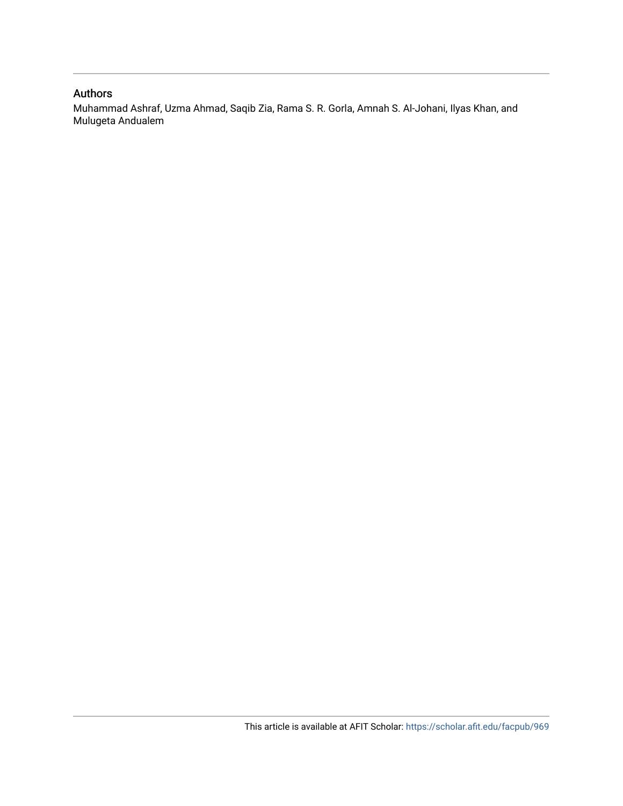## Authors

Muhammad Ashraf, Uzma Ahmad, Saqib Zia, Rama S. R. Gorla, Amnah S. Al-Johani, Ilyas Khan, and Mulugeta Andualem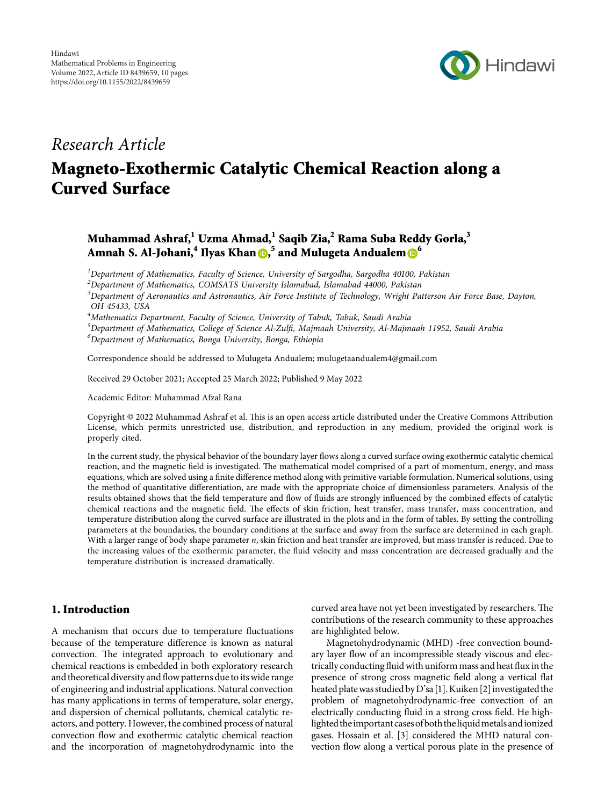

# Research Article

# Magneto-Exothermic Catalytic Chemical Reaction along a Curved Surface

# Muhammad Ashraf,<sup>1</sup> Uzma Ahmad,<sup>1</sup> Saqib Zia,<sup>2</sup> Rama Suba Reddy Gorla,<sup>3</sup> Amnah S. Al-Johani,<sup>4</sup> Ilyas Khan <mark>D,<sup>5</sup> and Mulugeta Andualem D</mark><sup>[6](https://orcid.org/0000-0003-3587-8481)</sup>

 ${}^{1}$ Department of Mathematics, Faculty of Science, University of Sargodha, Sargodha 40100, Pakistan

 $^2$ Department of Mathematics, COMSATS University Islamabad, Islamabad 44000, Pakistan

 $^3$ Department of Aeronautics and Astronautics, Air Force Institute of Technology, Wright Patterson Air Force Base, Dayton, OH 45433, USA

 $\rm ^4$ Mathematics Department, Faculty of Science, University of Tabuk, Tabuk, Saudi Arabia

 $^5$ Department of Mathematics, College of Science Al-Zulfi, Majmaah University, Al-Majmaah 11952, Saudi Arabia  $^6$ Department of Mathematics, Bonga University, Bonga, Ethiopia

Correspondence should be addressed to Mulugeta Andualem; [mulugetaandualem4@gmail.com](mailto:mulugetaandualem4@gmail.com)

Received 29 October 2021; Accepted 25 March 2022; Published 9 May 2022

Academic Editor: Muhammad Afzal Rana

Copyright © 2022 Muhammad Ashraf et al. This is an open access article distributed under the [Creative Commons Attribution](https://creativecommons.org/licenses/by/4.0/) [License,](https://creativecommons.org/licenses/by/4.0/) which permits unrestricted use, distribution, and reproduction in any medium, provided the original work is properly cited.

In the current study, the physical behavior of the boundary layer flows along a curved surface owing exothermic catalytic chemical reaction, and the magnetic field is investigated. The mathematical model comprised of a part of momentum, energy, and mass equations, which are solved using a finite difference method along with primitive variable formulation. Numerical solutions, using the method of quantitative differentiation, are made with the appropriate choice of dimensionless parameters. Analysis of the results obtained shows that the field temperature and flow of fluids are strongly influenced by the combined effects of catalytic chemical reactions and the magnetic field. The effects of skin friction, heat transfer, mass transfer, mass concentration, and temperature distribution along the curved surface are illustrated in the plots and in the form of tables. By setting the controlling parameters at the boundaries, the boundary conditions at the surface and away from the surface are determined in each graph. With a larger range of body shape parameter n, skin friction and heat transfer are improved, but mass transfer is reduced. Due to the increasing values of the exothermic parameter, the fluid velocity and mass concentration are decreased gradually and the temperature distribution is increased dramatically.

#### 1. Introduction

A mechanism that occurs due to temperature fluctuations because of the temperature difference is known as natural convection. The integrated approach to evolutionary and chemical reactions is embedded in both exploratory research and theoretical diversity and flow patterns due to its wide range of engineering and industrial applications. Natural convection has many applications in terms of temperature, solar energy, and dispersion of chemical pollutants, chemical catalytic reactors, and pottery. However, the combined process of natural convection flow and exothermic catalytic chemical reaction and the incorporation of magnetohydrodynamic into the

curved area have not yet been investigated by researchers. The contributions of the research community to these approaches are highlighted below.

Magnetohydrodynamic (MHD) -free convection boundary layer flow of an incompressible steady viscous and electrically conducting fluid with uniform mass and heat flux in the presence of strong cross magnetic field along a vertical flat heated plate was studied by D'sa [[1](#page-10-0)]. Kuiken [\[2\]](#page-10-0) investigated the problem of magnetohydrodynamic-free convection of an electrically conducting fluid in a strong cross field. He highlighted theimportantcasesofboth theliquidmetalsandionized gases. Hossain et al. [\[3](#page-11-0)] considered the MHD natural convection flow along a vertical porous plate in the presence of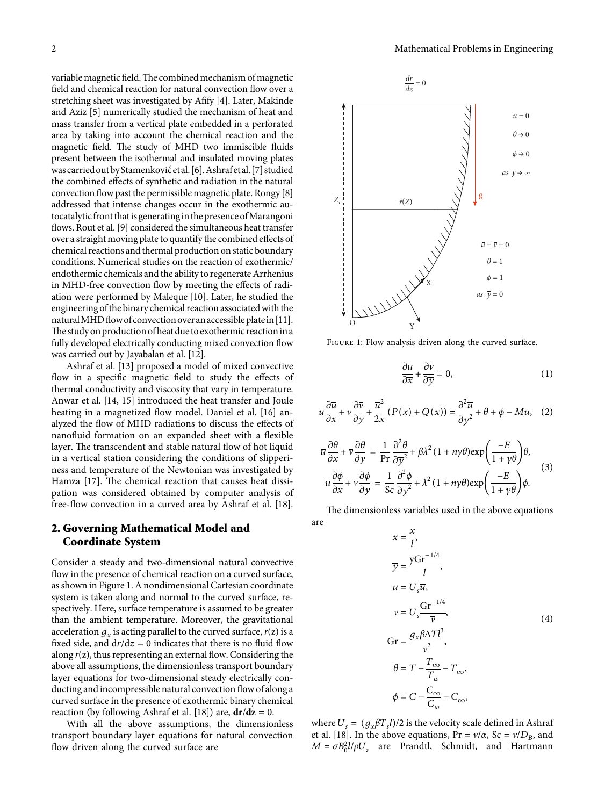<span id="page-3-0"></span>variable magnetic field. The combined mechanism of magnetic field and chemical reaction for natural convection flow over a stretching sheet was investigated by Afify [\[4\]](#page-11-0). Later, Makinde and Aziz [\[5\]](#page-11-0) numerically studied the mechanism of heat and mass transfer from a vertical plate embedded in a perforated area by taking into account the chemical reaction and the magnetic field. The study of MHD two immiscible fluids present between the isothermal and insulated moving plates was carried out by Stamenković et al. [\[6\]](#page-11-0). Ashrafet al. [\[7\]](#page-11-0) studied the combined effects of synthetic and radiation in the natural convection flow past the permissible magnetic plate. Rongy [\[8\]](#page-11-0) addressed that intense changes occur in the exothermic autocatalytic front that is generating in the presence of Marangoni flows. Rout et al. [\[9](#page-11-0)] considered the simultaneous heat transfer over a straight moving plate to quantify the combined effects of chemical reactions and thermal production on static boundary conditions. Numerical studies on the reaction of exothermic/ endothermic chemicals and the ability to regenerate Arrhenius in MHD-free convection flow by meeting the effects of radiation were performed by Maleque [\[10](#page-11-0)]. Later, he studied the engineering of the binary chemical reaction associatedwith the natural MHD flow of convection over an accessible plate in [[11](#page-11-0)]. The study on production of heat due to exothermic reaction in a fully developed electrically conducting mixed convection flow was carried out by Jayabalan et al. [\[12\]](#page-11-0).

Ashraf et al. [\[13](#page-11-0)] proposed a model of mixed convective flow in a specific magnetic field to study the effects of thermal conductivity and viscosity that vary in temperature. Anwar et al. [[14, 15](#page-11-0)] introduced the heat transfer and Joule heating in a magnetized flow model. Daniel et al. [[16\]](#page-11-0) analyzed the flow of MHD radiations to discuss the effects of nanofluid formation on an expanded sheet with a flexible layer. The transcendent and stable natural flow of hot liquid in a vertical station considering the conditions of slipperiness and temperature of the Newtonian was investigated by Hamza [[17\]](#page-11-0). The chemical reaction that causes heat dissipation was considered obtained by computer analysis of free-flow convection in a curved area by Ashraf et al. [\[18](#page-11-0)].

## **2. Governing Mathematical Model and Coordinate System**

Consider a steady and two-dimensional natural convective flow in the presence of chemical reaction on a curved surface, as shown in Figure 1. A nondimensional Cartesian coordinate system is taken along and normal to the curved surface, respectively. Here, surface temperature is assumed to be greater than the ambient temperature. Moreover, the gravitational acceleration  $g_x$  is acting parallel to the curved surface,  $r(z)$  is a fixed side, and  $dr/dz = 0$  indicates that there is no fluid flow along *r*(z), thus representing an external flow. Considering the above all assumptions, the dimensionless transport boundary layer equations for two-dimensional steady electrically conducting and incompressible natural convection flow of along a curved surface in the presence of exothermic binary chemical reaction (by following Ashraf et al. [[18\]](#page-11-0)) are,  $dr/dz = 0$ .

With all the above assumptions, the dimensionless transport boundary layer equations for natural convection flow driven along the curved surface are



Figure 1: Flow analysis driven along the curved surface.

$$
\frac{\partial \overline{u}}{\partial \overline{x}} + \frac{\partial \overline{v}}{\partial \overline{y}} = 0, \tag{1}
$$

$$
\overline{u}\frac{\partial\overline{u}}{\partial\overline{x}} + \overline{v}\frac{\partial\overline{v}}{\partial\overline{y}} + \frac{\overline{u}^2}{2\overline{x}}\left(P(\overline{x}) + Q(\overline{x})\right) = \frac{\partial^2\overline{u}}{\partial\overline{y}^2} + \theta + \phi - M\overline{u}, \quad (2)
$$

$$
\overline{u}\frac{\partial\theta}{\partial x} + \overline{v}\frac{\partial\theta}{\partial y} = \frac{1}{\text{Pr}}\frac{\partial^2\theta}{\partial y^2} + \beta\lambda^2 (1 + n\gamma\theta) \exp\left(\frac{-E}{1 + \gamma\theta}\right)\theta,
$$
  

$$
\overline{u}\frac{\partial\phi}{\partial x} + \overline{v}\frac{\partial\phi}{\partial y} = \frac{1}{\text{Sc}}\frac{\partial^2\phi}{\partial y^2} + \lambda^2 (1 + n\gamma\theta) \exp\left(\frac{-E}{1 + \gamma\theta}\right)\phi.
$$
 (3)

The dimensionless variables used in the above equations are

$$
\overline{x} = \frac{x}{l},
$$
\n
$$
\overline{y} = \frac{y \text{Gr}^{-1/4}}{l},
$$
\n
$$
u = U_s \overline{u},
$$
\n
$$
v = U_s \frac{\text{Gr}^{-1/4}}{\overline{v}},
$$
\n
$$
\text{Gr} = \frac{g_x \beta \Delta T l^3}{v^2},
$$
\n
$$
\theta = T - \frac{T_{\infty}}{T_w} - T_{\infty},
$$
\n
$$
\phi = C - \frac{C_{\infty}}{C_w} - C_{\infty},
$$

where  $U_s = (g_x \beta T_s l)/2$  is the velocity scale defined in Ashraf et al. [\[18\]](#page-11-0). In the above equations,  $Pr = v/\alpha$ ,  $Sc = v/D_B$ , and  $M = \sigma B_0^2 l / \rho U_s$  are Prandtl, Schmidt, and Hartmann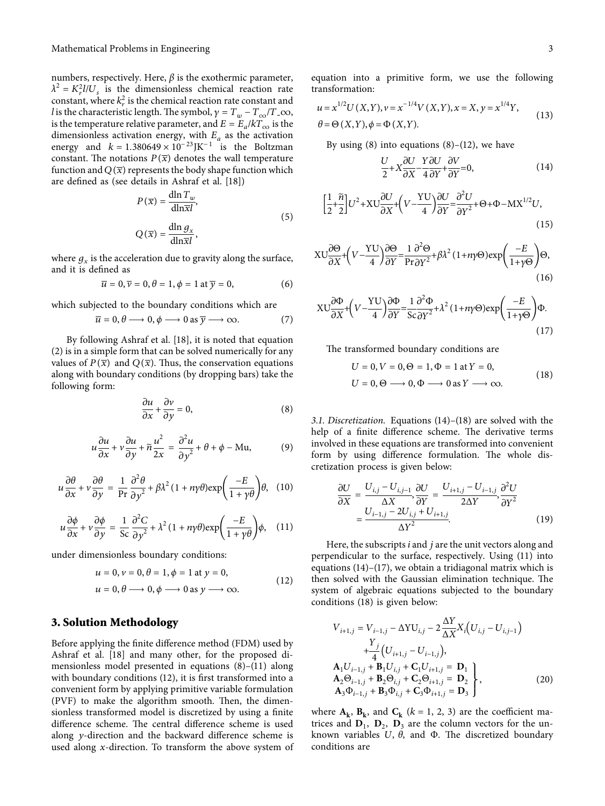<span id="page-4-0"></span>numbers, respectively. Here,  $β$  is the exothermic parameter,  $\lambda^2 = K_r^2 l / U_s$  is the dimensionless chemical reaction rate constant, where  $k_r^2$  is the chemical reaction rate constant and *l* is the characteristic length. The symbol,  $\gamma = T_w - T_{\infty}/T \_\infty$ , is the temperature relative parameter, and  $E = E_a/kT_{\infty}$  is the dimensionless activation energy, with  $E_a$  as the activation energy and  $k = 1.380649 \times 10^{-23}$ JK<sup>-1</sup> is the Boltzman constant. The notations  $P(\overline{x})$  denotes the wall temperature function and  $Q(\overline{x})$  represents the body shape function which are defined as (see details in Ashraf et al. [\[18](#page-11-0)])

$$
P(\overline{x}) = \frac{\text{dln } T_w}{\text{dln } \overline{x}l},
$$
  
 
$$
Q(\overline{x}) = \frac{\text{dln } g_x}{\text{dln } \overline{x}l},
$$
 (5)

where  $g_x$  is the acceleration due to gravity along the surface, and it is defined as

$$
\overline{u} = 0, \overline{v} = 0, \theta = 1, \phi = 1 \text{ at } \overline{y} = 0,
$$
 (6)

which subjected to the boundary conditions which are

$$
\overline{u} = 0, \theta \longrightarrow 0, \phi \longrightarrow 0 \text{ as } \overline{y} \longrightarrow \infty. \tag{7}
$$

By following Ashraf et al. [[18\]](#page-11-0), it is noted that equation [\(2](#page-3-0)) is in a simple form that can be solved numerically for any values of  $P(\overline{x})$  and  $Q(\overline{x})$ . Thus, the conservation equations along with boundary conditions (by dropping bars) take the following form:

$$
\frac{\partial u}{\partial x} + \frac{\partial v}{\partial y} = 0,\tag{8}
$$

$$
u\frac{\partial u}{\partial x} + v\frac{\partial u}{\partial y} + \tilde{n}\frac{u^2}{2x} = \frac{\partial^2 u}{\partial y^2} + \theta + \phi - Mu,
$$
 (9)

$$
u\frac{\partial\theta}{\partial x} + v\frac{\partial\theta}{\partial y} = \frac{1}{\text{Pr}}\frac{\partial^2\theta}{\partial y^2} + \beta\lambda^2 (1 + n\gamma\theta) \exp\left(\frac{-E}{1 + \gamma\theta}\right)\theta, \quad (10)
$$

$$
u\frac{\partial\phi}{\partial x} + v\frac{\partial\phi}{\partial y} = \frac{1}{\text{Sc}}\frac{\partial^2 C}{\partial y^2} + \lambda^2 (1 + n\gamma\theta) \exp\left(\frac{-E}{1 + \gamma\theta}\right)\phi, \quad (11)
$$

under dimensionless boundary conditions:

$$
u = 0, v = 0, \theta = 1, \phi = 1 \text{ at } y = 0,
$$
  

$$
u = 0, \theta \longrightarrow 0, \phi \longrightarrow 0 \text{ as } y \longrightarrow \infty.
$$
 (12)

### **3. Solution Methodology**

Before applying the finite difference method (FDM) used by Ashraf et al. [[18\]](#page-11-0) and many other, for the proposed dimensionless model presented in equations (8)–(11) along with boundary conditions (12), it is first transformed into a convenient form by applying primitive variable formulation  $(PVF)$  to make the algorithm smooth. Then, the dimensionless transformed model is discretized by using a finite difference scheme. The central difference scheme is used along *y*-direction and the backward difference scheme is used along *x*-direction. To transform the above system of equation into a primitive form, we use the following transformation:

$$
u = x^{1/2}U(X,Y), v = x^{-1/4}V(X,Y), x = X, y = x^{1/4}Y,
$$
  
\n
$$
\theta = \Theta(X,Y), \phi = \Phi(X,Y).
$$
\n(13)

By using  $(8)$  into equations  $(8)$ – $(12)$ , we have

$$
\frac{U}{2} + X \frac{\partial U}{\partial X} - \frac{Y \partial U}{4} \frac{\partial V}{\partial Y} + \frac{\partial V}{\partial Y} = 0,
$$
\n(14)

$$
\left[\frac{1}{2} + \frac{\tilde{n}}{2}\right]U^2 + XV\frac{\partial U}{\partial X} + \left(V - \frac{YU}{4}\right)\frac{\partial U}{\partial Y} = \frac{\partial^2 U}{\partial Y^2} + \Theta + \Phi - \mathbf{M}X^{1/2}U,\tag{15}
$$

$$
XU\frac{\partial\Theta}{\partial X} + \left(V - \frac{YU}{4}\right)\frac{\partial\Theta}{\partial Y} = \frac{1}{Pr\partial Y^2} + \beta\lambda^2 (1 + n\gamma\Theta) \exp\left(\frac{-E}{1 + \gamma\Theta}\right)\Theta,
$$
\n(16)

$$
XU\frac{\partial\Phi}{\partial X} + \left(V - \frac{YU}{4}\right)\frac{\partial\Phi}{\partial Y} = \frac{1}{Sc}\frac{\partial^2\Phi}{\partial Y^2} + \lambda^2 (1 + n\gamma\Theta) \exp\left(\frac{-E}{1 + \gamma\Theta}\right)\Phi.
$$
\n(17)

The transformed boundary conditions are

$$
U = 0, V = 0, \Theta = 1, \Phi = 1 \text{ at } Y = 0,
$$
  

$$
U = 0, \Theta \longrightarrow 0, \Phi \longrightarrow 0 \text{ as } Y \longrightarrow \infty.
$$
 (18)

*3.1. Discretization.* Equations (14)–(18) are solved with the help of a finite difference scheme. The derivative terms involved in these equations are transformed into convenient form by using difference formulation. The whole discretization process is given below:

$$
\frac{\partial U}{\partial X} = \frac{U_{i,j} - U_{i,j-1}}{\Delta X}, \frac{\partial U}{\partial Y} = \frac{U_{i+1,j} - U_{i-1,j}}{2\Delta Y}, \frac{\partial^2 U}{\partial Y^2}
$$

$$
= \frac{U_{i-1,j} - 2U_{i,j} + U_{i+1,j}}{\Delta Y^2}.
$$
(19)

Here, the subscripts *i* and *j* are the unit vectors along and perpendicular to the surface, respectively. Using (11) into equations (14)–(17), we obtain a tridiagonal matrix which is then solved with the Gaussian elimination technique. The system of algebraic equations subjected to the boundary conditions (18) is given below:

$$
V_{i+1,j} = V_{i-1,j} - \Delta Y U_{i,j} - 2 \frac{\Delta Y}{\Delta X} X_i (U_{i,j} - U_{i,j-1})
$$
  
\n
$$
+ \frac{Y_j}{4} (U_{i+1,j} - U_{i-1,j}),
$$
  
\n
$$
A_1 U_{i-1,j} + B_1 U_{i,j} + C_1 U_{i+1,j} = D_1
$$
  
\n
$$
A_2 \Theta_{i-1,j} + B_2 \Theta_{i,j} + C_2 \Theta_{i+1,j} = D_2
$$
  
\n
$$
A_3 \Phi_{i-1,j} + B_3 \Phi_{i,j} + C_3 \Phi_{i+1,j} = D_3
$$
\n(20)

where  $A_k$ ,  $B_k$ , and  $C_k$  ( $k = 1, 2, 3$ ) are the coefficient matrices and  $D_1$ ,  $D_2$ ,  $D_3$  are the column vectors for the unknown variables  $U$ ,  $\theta$ , and  $\Phi$ . The discretized boundary conditions are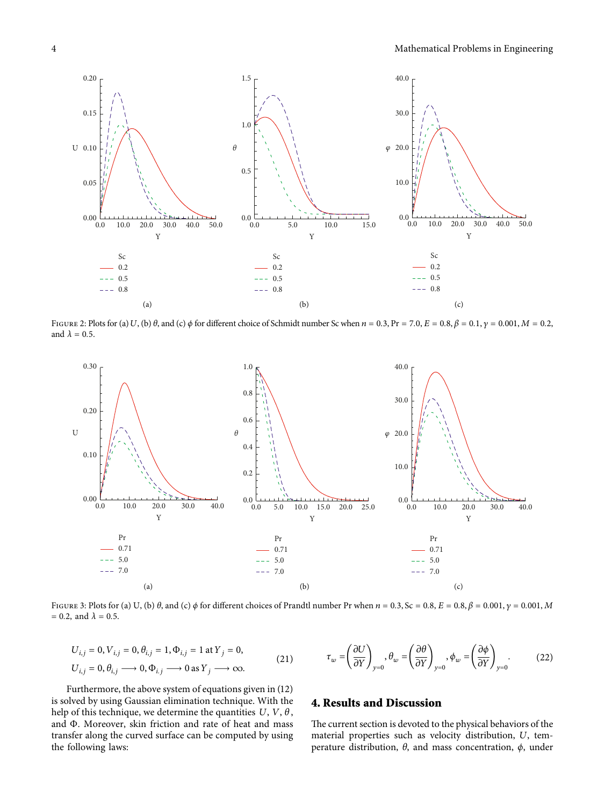<span id="page-5-0"></span>

FIGURE 2: Plots for (a) U, (b)  $\theta$ , and (c)  $\phi$  for different choice of Schmidt number Sc when  $n = 0.3$ , Pr = 7.0, E = 0.8,  $\beta = 0.1$ ,  $\gamma = 0.001$ , M = 0.2, and  $\lambda = 0.5$ .



FIGURE 3: Plots for (a) U, (b)  $\theta$ , and (c)  $\phi$  for different choices of Prandtl number Pr when  $n = 0.3$ , Sc = 0.8, E = 0.8,  $\beta = 0.001$ ,  $\gamma = 0.001$ ,  $M$  $= 0.2$ , and  $\lambda = 0.5$ .

$$
U_{i,j} = 0, V_{i,j} = 0, \theta_{i,j} = 1, \Phi_{i,j} = 1 \text{ at } Y_j = 0,
$$
  

$$
U_{i,j} = 0, \theta_{i,j} \longrightarrow 0, \Phi_{i,j} \longrightarrow 0 \text{ as } Y_j \longrightarrow \infty.
$$
 (21)

$$
\tau_w = \left(\frac{\partial U}{\partial Y}\right)_{y=0}, \theta_w = \left(\frac{\partial \theta}{\partial Y}\right)_{y=0}, \phi_w = \left(\frac{\partial \phi}{\partial Y}\right)_{y=0}.
$$
 (22)

Furthermore, the above system of equations given in ([12\)](#page-4-0) is solved by using Gaussian elimination technique. With the help of this technique, we determine the quantities  $U, V, \theta$ , and Φ. Moreover, skin friction and rate of heat and mass transfer along the curved surface can be computed by using the following laws:

## **4. Results and Discussion**

The current section is devoted to the physical behaviors of the material properties such as velocity distribution, *U*, temperature distribution, *θ*, and mass concentration, *ϕ*, under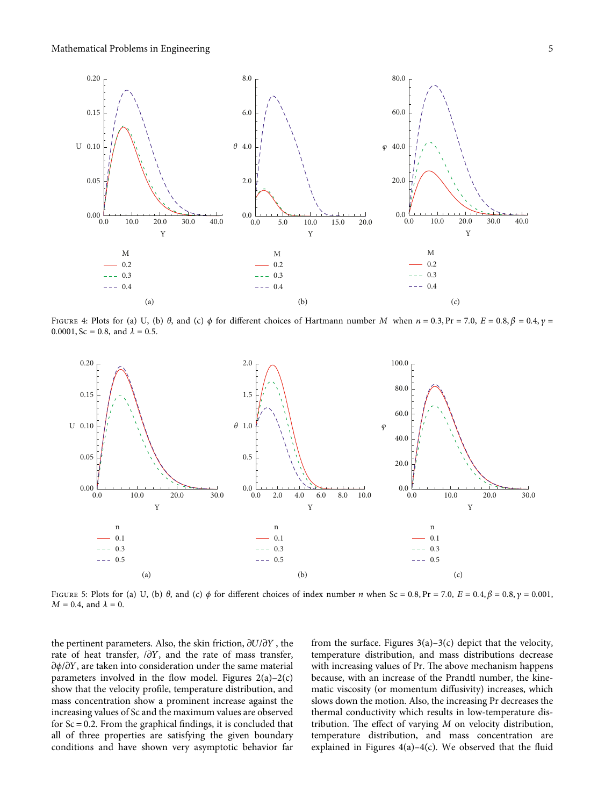<span id="page-6-0"></span>

FIGURE 4: Plots for (a) U, (b)  $\theta$ , and (c)  $\phi$  for different choices of Hartmann number M when  $n = 0.3$ , Pr = 7.0, E = 0.8,  $\beta = 0.4$ ,  $\gamma =$  $0.0001$ , Sc = 0.8, and  $\lambda = 0.5$ .



FIGURE 5: Plots for (a) U, (b)  $\theta$ , and (c)  $\phi$  for different choices of index number *n* when Sc = 0.8, Pr = 7.0, E = 0.4,  $\beta$  = 0.8,  $\gamma$  = 0.001,  $M = 0.4$ , and  $\lambda = 0$ .

the pertinent parameters. Also, the skin friction,  $\partial U/\partial Y$ , the rate of heat transfer,  $/\partial Y$ , and the rate of mass transfer,  $\partial \phi / \partial Y$ , are taken into consideration under the same material parameters involved in the flow model. Figures  $2(a)-2(c)$ show that the velocity profile, temperature distribution, and mass concentration show a prominent increase against the increasing values of Sc and the maximum values are observed for  $Sc = 0.2$ . From the graphical findings, it is concluded that all of three properties are satisfying the given boundary conditions and have shown very asymptotic behavior far

from the surface. Figures  $3(a)$ – $3(c)$  depict that the velocity, temperature distribution, and mass distributions decrease with increasing values of Pr. The above mechanism happens because, with an increase of the Prandtl number, the kinematic viscosity (or momentum diffusivity) increases, which slows down the motion. Also, the increasing Pr decreases the thermal conductivity which results in low-temperature distribution. The effect of varying  $M$  on velocity distribution, temperature distribution, and mass concentration are explained in Figures  $4(a) - 4(c)$ . We observed that the fluid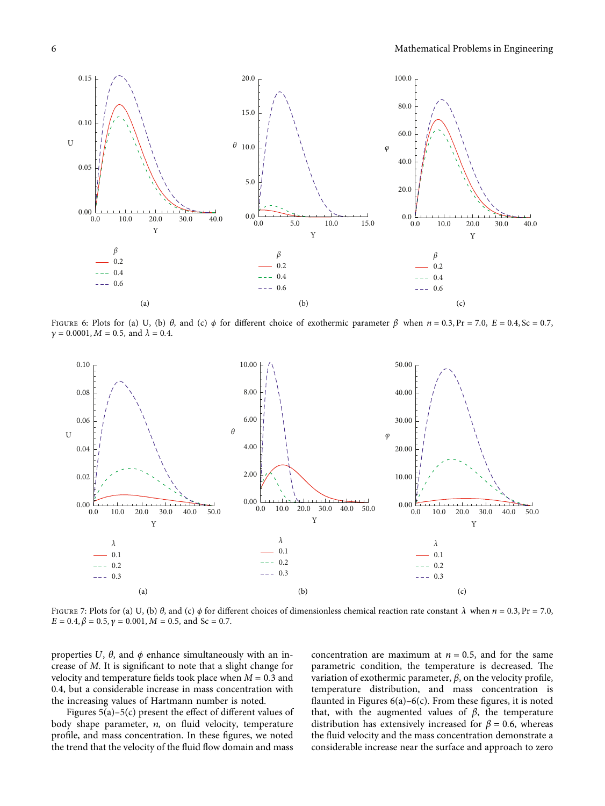<span id="page-7-0"></span>

FIGURE 6: Plots for (a) U, (b) *θ*, and (c) *φ* for different choice of exothermic parameter  $β$  when  $n = 0.3$ , Pr = 7.0,  $E = 0.4$ , Sc = 0.7,  $\gamma = 0.0001, M = 0.5, \text{ and } \lambda = 0.4.$ 



FIGURE 7: Plots for (a) U, (b) *θ*, and (c) *ϕ* for different choices of dimensionless chemical reaction rate constant  $λ$  when  $n = 0.3$ , Pr = 7.0,  $E = 0.4, \beta = 0.5, \gamma = 0.001, M = 0.5, \text{ and } Sc = 0.7.$ 

properties  $U$ ,  $\theta$ , and  $\phi$  enhance simultaneously with an increase of *M*. It is significant to note that a slight change for velocity and temperature fields took place when  $M = 0.3$  and 0*.*4, but a considerable increase in mass concentration with the increasing values of Hartmann number is noted.

Figures [5\(a\)–5\(c\)](#page-6-0) present the effect of different values of body shape parameter, *n*, on fluid velocity, temperature profile, and mass concentration. In these figures, we noted the trend that the velocity of the fluid flow domain and mass

concentration are maximum at  $n = 0.5$ , and for the same parametric condition, the temperature is decreased. The variation of exothermic parameter, *β*, on the velocity profile, temperature distribution, and mass concentration is flaunted in Figures  $6(a)$ – $6(c)$ . From these figures, it is noted that, with the augmented values of *β,* the temperature distribution has extensively increased for  $\beta = 0.6$ , whereas the fluid velocity and the mass concentration demonstrate a considerable increase near the surface and approach to zero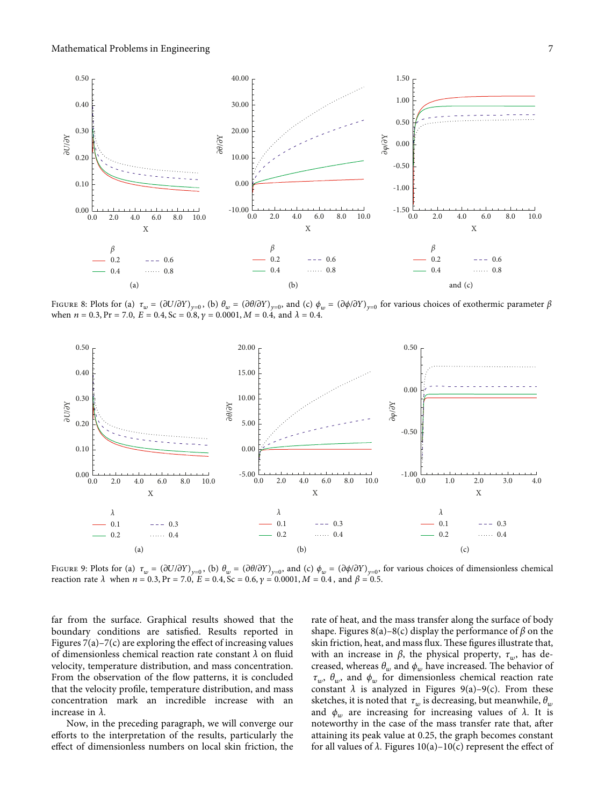

FIGURE 8: Plots for (a)  $\tau_w = (\partial U/\partial Y)_{v=0}$ , (b)  $\theta_w = (\partial \theta/\partial Y)_{v=0}$ , and (c)  $\phi_w = (\partial \phi/\partial Y)_{v=0}$  for various choices of exothermic parameter  $\beta$ when  $n = 0.3$ ,  $Pr = 7.0$ ,  $E = 0.4$ ,  $Sc = 0.8$ ,  $\gamma = 0.0001$ ,  $M = 0.4$ , and  $\lambda = 0.4$ .



FIGURE 9: Plots for (a)  $\tau_w = (\partial U/\partial Y)_{y=0}$ , (b)  $\theta_w = (\partial \theta/\partial Y)_{y=0}$ , and (c)  $\phi_w = (\partial \phi/\partial Y)_{y=0}$ , for various choices of dimensionless chemical reaction rate  $λ$  when  $n = 0.3$ ,  $Pr = 7.0$ ,  $E = 0.4$ ,  $Sc = 0.6$ ,  $γ = 0.0001$ ,  $M = 0.4$ , and  $β = 0.5$ .

far from the surface. Graphical results showed that the boundary conditions are satisfied. Results reported in Figures [7\(a\)](#page-7-0)–[7\(c\)](#page-7-0) are exploring the effect of increasing values of dimensionless chemical reaction rate constant *λ* on fluid velocity, temperature distribution, and mass concentration. From the observation of the flow patterns, it is concluded that the velocity profile, temperature distribution, and mass concentration mark an incredible increase with an increase in *λ.*

Now, in the preceding paragraph, we will converge our efforts to the interpretation of the results, particularly the effect of dimensionless numbers on local skin friction, the rate of heat, and the mass transfer along the surface of body shape. Figures  $8(a)$ – $8(c)$  display the performance of  $\beta$  on the skin friction, heat, and mass flux. These figures illustrate that, with an increase in *β*, the physical property,  $τ_w$ , has decreased, whereas  $\theta_w$  and  $\phi_w$  have increased. The behavior of *τw*, *θw*, and *ϕ<sup>w</sup>* for dimensionless chemical reaction rate constant  $\lambda$  is analyzed in Figures 9(a)–9(c). From these sketches, it is noted that  $\tau_w$  is decreasing, but meanwhile,  $\theta_w$ and  $\phi_w$  are increasing for increasing values of  $\lambda$ . It is noteworthy in the case of the mass transfer rate that, after attaining its peak value at 0.25, the graph becomes constant for all values of  $\lambda$ . Figures [10\(a\)](#page-9-0)–[10\(c\)](#page-9-0) represent the effect of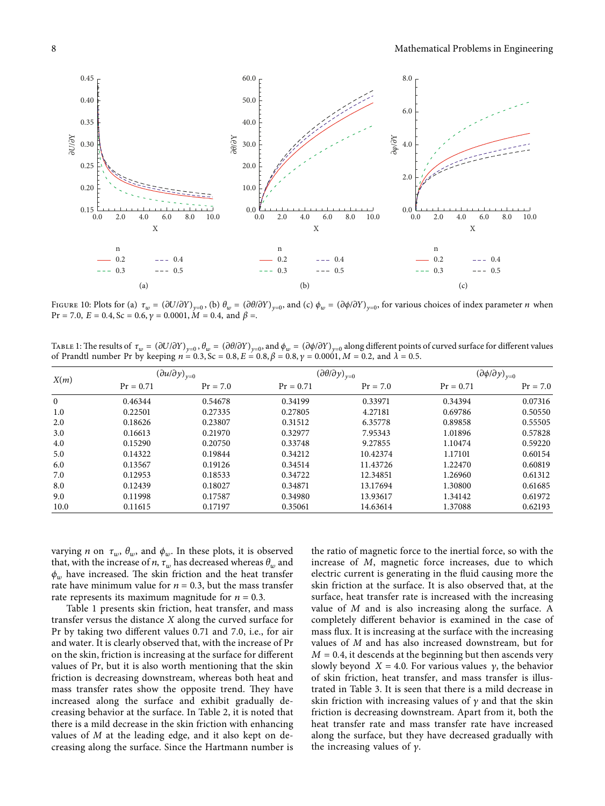<span id="page-9-0"></span>

FIGURE 10: Plots for (a)  $\tau_w = (\partial U/\partial Y)_{y=0}$ , (b)  $\theta_w = (\partial \theta/\partial Y)_{y=0}$ , and (c)  $\phi_w = (\partial \phi/\partial Y)_{y=0}$ , for various choices of index parameter *n* when  $Pr = 7.0, E = 0.4, Sc = 0.6, \gamma = 0.0001, M = 0.4, and \beta =$ .

TABLE 1: The results of  $\tau_w = (\partial U/\partial Y)_{y=0}, \theta_w = (\partial \theta/\partial Y)_{y=0}$ , and  $\phi_w = (\partial \phi/\partial Y)_{y=0}$  along different points of curved surface for different values of Prandtl number Pr by keeping  $n = 0.3$ , Sc = 0.8, E = 0.8,  $\beta = 0.8$ ,  $\gamma = 0.0001$ , M = 0.2, and  $\lambda = 0.5$ .

| X(m)         | $\left(\partial u/\partial y\right)_{y=0}$ |            | $\left(\partial\theta/\partial y\right)_{y=0}$ |            | $\left(\partial \phi / \partial y\right)_{y=0}$ |            |
|--------------|--------------------------------------------|------------|------------------------------------------------|------------|-------------------------------------------------|------------|
|              | $Pr = 0.71$                                | $Pr = 7.0$ | $Pr = 0.71$                                    | $Pr = 7.0$ | $Pr = 0.71$                                     | $Pr = 7.0$ |
| $\mathbf{0}$ | 0.46344                                    | 0.54678    | 0.34199                                        | 0.33971    | 0.34394                                         | 0.07316    |
| 1.0          | 0.22501                                    | 0.27335    | 0.27805                                        | 4.27181    | 0.69786                                         | 0.50550    |
| 2.0          | 0.18626                                    | 0.23807    | 0.31512                                        | 6.35778    | 0.89858                                         | 0.55505    |
| 3.0          | 0.16613                                    | 0.21970    | 0.32977                                        | 7.95343    | 1.01896                                         | 0.57828    |
| 4.0          | 0.15290                                    | 0.20750    | 0.33748                                        | 9.27855    | 1.10474                                         | 0.59220    |
| 5.0          | 0.14322                                    | 0.19844    | 0.34212                                        | 10.42374   | 1.17101                                         | 0.60154    |
| 6.0          | 0.13567                                    | 0.19126    | 0.34514                                        | 11.43726   | 1.22470                                         | 0.60819    |
| 7.0          | 0.12953                                    | 0.18533    | 0.34722                                        | 12.34851   | 1.26960                                         | 0.61312    |
| 8.0          | 0.12439                                    | 0.18027    | 0.34871                                        | 13.17694   | 1.30800                                         | 0.61685    |
| 9.0          | 0.11998                                    | 0.17587    | 0.34980                                        | 13.93617   | 1.34142                                         | 0.61972    |
| 10.0         | 0.11615                                    | 0.17197    | 0.35061                                        | 14.63614   | 1.37088                                         | 0.62193    |

varying *n* on  $\tau_w$ ,  $\theta_w$ , and  $\phi_w$ . In these plots, it is observed that, with the increase of *n*,  $\tau_w$  has decreased whereas  $\theta_w$  and  $\phi_w$  have increased. The skin friction and the heat transfer rate have minimum value for  $n = 0.3$ , but the mass transfer rate represents its maximum magnitude for  $n = 0.3$ *.* 

Table 1 presents skin friction, heat transfer, and mass transfer versus the distance *X* along the curved surface for Pr by taking two different values 0.71 and 7.0, i.e., for air and water. It is clearly observed that, with the increase of Pr on the skin, friction is increasing at the surface for different values of Pr, but it is also worth mentioning that the skin friction is decreasing downstream, whereas both heat and mass transfer rates show the opposite trend. They have increased along the surface and exhibit gradually decreasing behavior at the surface. In Table [2](#page-10-0), it is noted that there is a mild decrease in the skin friction with enhancing values of *M* at the leading edge, and it also kept on decreasing along the surface. Since the Hartmann number is

the ratio of magnetic force to the inertial force, so with the increase of *M*, magnetic force increases, due to which electric current is generating in the fluid causing more the skin friction at the surface. It is also observed that, at the surface, heat transfer rate is increased with the increasing value of *M* and is also increasing along the surface. A completely different behavior is examined in the case of mass flux. It is increasing at the surface with the increasing values of *M* and has also increased downstream, but for  $M = 0.4$ , it descends at the beginning but then ascends very slowly beyond  $X = 4.0$ . For various values  $\gamma$ , the behavior of skin friction, heat transfer, and mass transfer is illustrated in Table [3.](#page-10-0) It is seen that there is a mild decrease in skin friction with increasing values of  $\gamma$  and that the skin friction is decreasing downstream. Apart from it, both the heat transfer rate and mass transfer rate have increased along the surface, but they have decreased gradually with the increasing values of  $\gamma$ .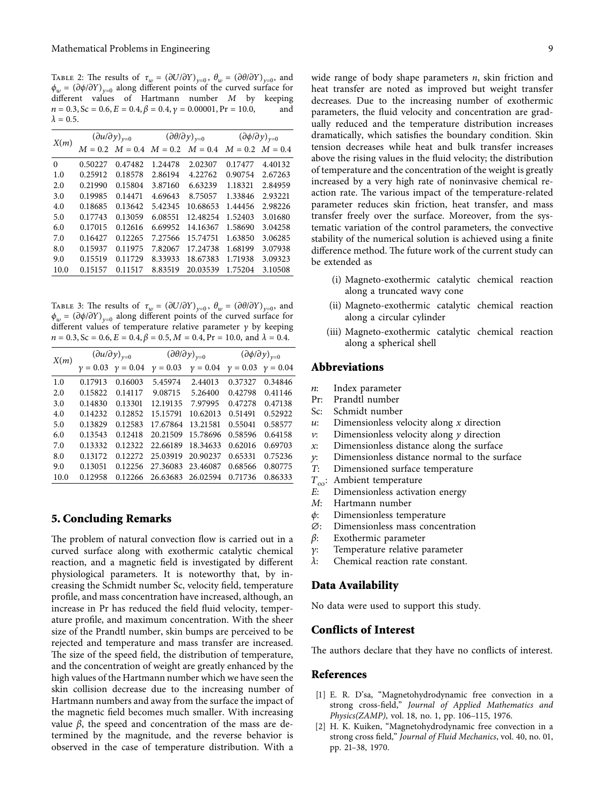<span id="page-10-0"></span>TABLE 2: The results of  $\tau_w = (\partial U/\partial Y)_{y=0}$ ,  $\theta_w = (\partial \theta/\partial Y)_{y=0}$ , and  $\phi_w = (\partial \phi / \partial Y)_{v=0}$  along different points of the curved surface for different values of Hartmann number *M* by keeping  $n = 0.3$ , Sc = 0.6,  $E = 0.4$ ,  $\beta = 0.4$ ,  $\gamma = 0.00001$ , Pr = 10.0, and  $\lambda = 0.5$ .

| X(m)     | $\left(\partial u/\partial y\right)_{y=0}$ |           | $\left(\partial\theta/\partial y\right)_{y=0}$ |           | $\left(\partial \phi / \partial y\right)_{y=0}$ |         |
|----------|--------------------------------------------|-----------|------------------------------------------------|-----------|-------------------------------------------------|---------|
|          | $M = 0.2$                                  | $M = 0.4$ | $M = 0.2$                                      | $M = 0.4$ | $M = 0.2$ $M = 0.4$                             |         |
| $\Omega$ | 0.50227                                    | 0.47482   | 1.24478                                        | 2.02307   | 0.17477                                         | 4.40132 |
| 1.0      | 0.25912                                    | 0.18578   | 2.86194                                        | 4.22762   | 0.90754                                         | 2.67263 |
| 2.0      | 0.21990                                    | 0.15804   | 3.87160                                        | 6.63239   | 1.18321                                         | 2.84959 |
| 3.0      | 0.19985                                    | 0.14471   | 4.69643                                        | 8.75057   | 1.33846                                         | 2.93221 |
| 4.0      | 0.18685                                    | 0.13642   | 5.42345                                        | 10.68653  | 1.44456                                         | 2.98226 |
| 5.0      | 0.17743                                    | 0.13059   | 6.08551                                        | 12.48254  | 1.52403                                         | 3.01680 |
| 6.0      | 0.17015                                    | 0.12616   | 6.69952                                        | 14.16367  | 1.58690                                         | 3.04258 |
| 7.0      | 0.16427                                    | 0.12265   | 7.27566                                        | 15.74751  | 1.63850                                         | 3.06285 |
| 8.0      | 0.15937                                    | 0.11975   | 7.82067                                        | 17.24738  | 1.68199                                         | 3.07938 |
| 9.0      | 0.15519                                    | 0.11729   | 8.33933                                        | 18.67383  | 1.71938                                         | 3.09323 |
| 10.0     | 0.15157                                    | 0.11517   | 8.83519                                        | 20.03539  | 1.75204                                         | 3.10508 |

TABLE 3: The results of  $\tau_w = (\partial U/\partial Y)_{y=0}$ ,  $\theta_w = (\partial \theta/\partial Y)_{y=0}$ , and  $\phi_w = (\partial \phi / \partial Y)_{v=0}$  along different points of the curved surface for different values of temperature relative parameter  $\gamma$  by keeping  $n = 0.3$ , Sc = 0.6, E = 0.4,  $\beta = 0.5$ ,  $M = 0.4$ , Pr = 10.0, and  $\lambda = 0.4$ .

| X(m) | $\left(\partial u/\partial y\right)_{y=0}$ |            | $\left(\partial\theta/\partial y\right)_{y=0}$ |            | $\left(\partial \phi / \partial y\right)_{y=0}$ |            |
|------|--------------------------------------------|------------|------------------------------------------------|------------|-------------------------------------------------|------------|
|      | $y = 0.03$                                 | $y = 0.04$ | $\nu = 0.03$                                   | $y = 0.04$ | $y = 0.03$                                      | $y = 0.04$ |
| 1.0  | 0.17913                                    | 0.16003    | 5.45974                                        | 2.44013    | 0.37327                                         | 0.34846    |
| 2.0  | 0.15822                                    | 0.14117    | 9.08715                                        | 5.26400    | 0.42798                                         | 0.41146    |
| 3.0  | 0.14830                                    | 0.13301    | 12.19135                                       | 7.97995    | 0.47278                                         | 0.47138    |
| 4.0  | 0.14232                                    | 0.12852    | 15.15791                                       | 10.62013   | 0.51491                                         | 0.52922    |
| 5.0  | 0.13829                                    | 0.12583    | 17.67864                                       | 13.21581   | 0.55041                                         | 0.58577    |
| 6.0  | 0.13543                                    | 0.12418    | 20.21509                                       | 15.78696   | 0.58596                                         | 0.64158    |
| 7.0  | 0.13332                                    | 0.12322    | 22.66189                                       | 18.34633   | 0.62016                                         | 0.69703    |
| 8.0  | 0.13172                                    | 0.12272    | 25.03919                                       | 20.90237   | 0.65331                                         | 0.75236    |
| 9.0  | 0.13051                                    | 0.12256    | 27.36083                                       | 23.46087   | 0.68566                                         | 0.80775    |
| 10.0 | 0.12958                                    | 0.12266    | 26.63683                                       | 26.02594   | 0.71736                                         | 0.86333    |

#### **5. Concluding Remarks**

The problem of natural convection flow is carried out in a curved surface along with exothermic catalytic chemical reaction, and a magnetic field is investigated by different physiological parameters. It is noteworthy that, by increasing the Schmidt number Sc, velocity field, temperature profile, and mass concentration have increased, although, an increase in Pr has reduced the field fluid velocity, temperature profile, and maximum concentration. With the sheer size of the Prandtl number, skin bumps are perceived to be rejected and temperature and mass transfer are increased. The size of the speed field, the distribution of temperature, and the concentration of weight are greatly enhanced by the high values of the Hartmann number which we have seen the skin collision decrease due to the increasing number of Hartmann numbers and away from the surface the impact of the magnetic field becomes much smaller. With increasing value  $β$ , the speed and concentration of the mass are determined by the magnitude, and the reverse behavior is observed in the case of temperature distribution. With a

wide range of body shape parameters *n*, skin friction and heat transfer are noted as improved but weight transfer decreases. Due to the increasing number of exothermic parameters, the fluid velocity and concentration are gradually reduced and the temperature distribution increases dramatically, which satisfies the boundary condition. Skin tension decreases while heat and bulk transfer increases above the rising values in the fluid velocity; the distribution of temperature and the concentration of the weight is greatly increased by a very high rate of noninvasive chemical reaction rate. The various impact of the temperature-related parameter reduces skin friction, heat transfer, and mass transfer freely over the surface. Moreover, from the systematic variation of the control parameters, the convective stability of the numerical solution is achieved using a finite difference method. The future work of the current study can be extended as

- (i) Magneto-exothermic catalytic chemical reaction along a truncated wavy cone
- (ii) Magneto-exothermic catalytic chemical reaction along a circular cylinder
- (iii) Magneto-exothermic catalytic chemical reaction along a spherical shell

#### **Abbreviations**

- *n*: Index parameter<br>Pr: Prandtl number
- Prandtl number
- Sc: Schmidt number
- *u*: Dimensionless velocity along *x* direction
- *v*: Dimensionless velocity along *y* direction
- *x*: Dimensionless distance along the surface
- *y*: Dimensionless distance normal to the surface *T*: Dimensioned surface temperature
- Dimensioned surface temperature
- *T*<sub>∞</sub>: Ambient temperature<br>*E*: Dimensionless activat
- **Dimensionless activation energy**
- *M*: Hartmann number
- *ϕ*: Dimensionless temperature
- ∅: Dimensionless mass concentration
- *β*: Exothermic parameter
- *γ*: Temperature relative parameter
- *λ*: Chemical reaction rate constant.

#### **Data Availability**

No data were used to support this study.

### **Conflicts of Interest**

The authors declare that they have no conflicts of interest.

#### **References**

- [1] E. R. D'sa, "Magnetohydrodynamic free convection in a strong cross-field," *Journal of Applied Mathematics and Physics(ZAMP)*, vol. 18, no. 1, pp. 106–115, 1976.
- [2] H. K. Kuiken, "Magnetohydrodynamic free convection in a strong cross field," *Journal of Fluid Mechanics*, vol. 40, no. 01, pp. 21–38, 1970.